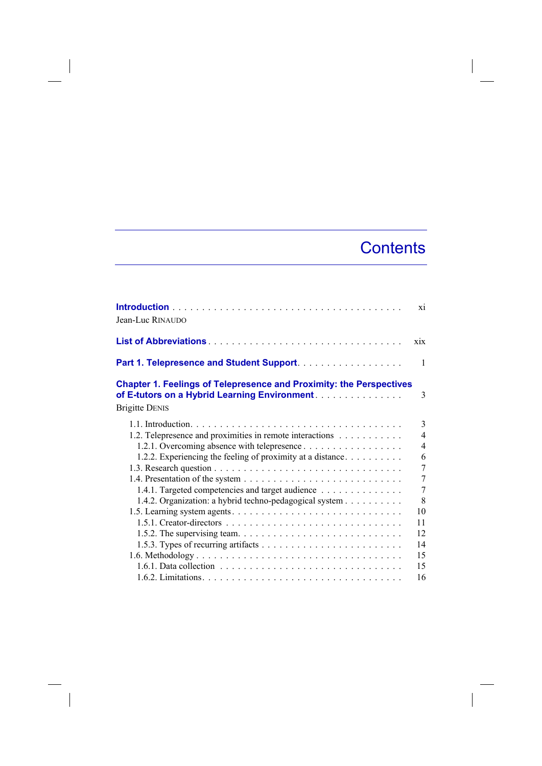## **Contents**

 $\overline{\phantom{a}}$ 

| Jean-Luc RINAUDO                                                                                                                                     | xi             |
|------------------------------------------------------------------------------------------------------------------------------------------------------|----------------|
|                                                                                                                                                      | xix            |
| Part 1. Telepresence and Student Support.                                                                                                            | $\mathbf{1}$   |
| <b>Chapter 1. Feelings of Telepresence and Proximity: the Perspectives</b><br>of E-tutors on a Hybrid Learning Environment.<br><b>Brigitte DENIS</b> | 3              |
|                                                                                                                                                      | 3              |
| 1.2. Telepresence and proximities in remote interactions                                                                                             | $\overline{4}$ |
| 1.2.1. Overcoming absence with telepresence                                                                                                          | $\overline{4}$ |
| 1.2.2. Experiencing the feeling of proximity at a distance. $\dots \dots \dots$                                                                      | 6              |
|                                                                                                                                                      | 7              |
|                                                                                                                                                      | $\overline{7}$ |
| 1.4.1. Targeted competencies and target audience                                                                                                     | $\overline{7}$ |
| 1.4.2. Organization: a hybrid techno-pedagogical system                                                                                              | 8              |
| 1.5. Learning system agents. $\dots \dots \dots \dots \dots \dots \dots \dots \dots \dots \dots$                                                     | 10             |
|                                                                                                                                                      | 11             |
|                                                                                                                                                      | 12             |
|                                                                                                                                                      | 14             |
|                                                                                                                                                      | 15             |
| $1.6.1$ . Data collection $\ldots \ldots \ldots \ldots \ldots \ldots \ldots \ldots \ldots \ldots$                                                    | 15             |
|                                                                                                                                                      | 16             |

 $\overline{\phantom{a}}$ 

 $\overline{\phantom{a}}$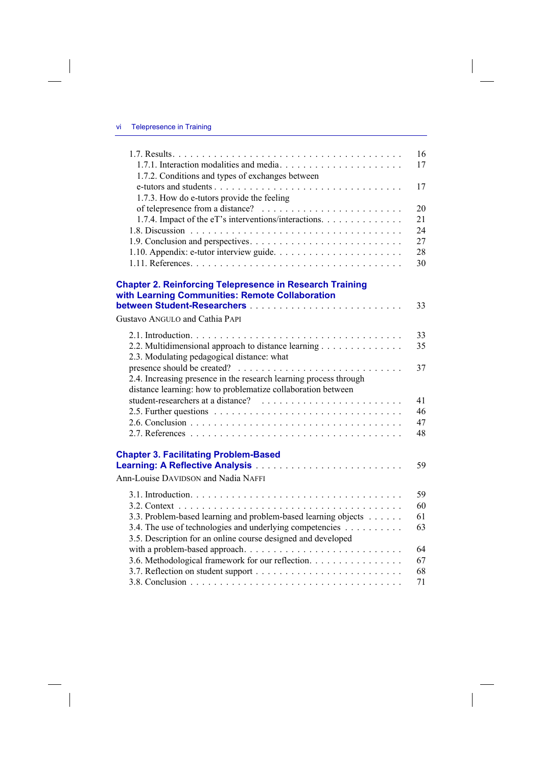$\overline{\phantom{a}}$ 

 $\begin{array}{c} \hline \end{array}$ 

| 1.7.2. Conditions and types of exchanges between                                                                   | 16<br>17 |
|--------------------------------------------------------------------------------------------------------------------|----------|
| 1.7.3. How do e-tutors provide the feeling                                                                         | 17       |
|                                                                                                                    | 20       |
| 1.7.4. Impact of the eT's interventions/interactions.                                                              | 21       |
|                                                                                                                    | 24       |
|                                                                                                                    | 27       |
|                                                                                                                    | 28       |
|                                                                                                                    | 30       |
| <b>Chapter 2. Reinforcing Telepresence in Research Training</b><br>with Learning Communities: Remote Collaboration |          |
|                                                                                                                    | 33       |
| Gustavo ANGULO and Cathia PAPI                                                                                     |          |
|                                                                                                                    | 33       |
| 2.2. Multidimensional approach to distance learning                                                                | 35       |
| 2.3. Modulating pedagogical distance: what                                                                         |          |
|                                                                                                                    | 37       |
| 2.4. Increasing presence in the research learning process through                                                  |          |
| distance learning: how to problematize collaboration between                                                       |          |
|                                                                                                                    | 41       |
|                                                                                                                    | 46       |
|                                                                                                                    | 47       |
|                                                                                                                    | 48       |
|                                                                                                                    |          |
| <b>Chapter 3. Facilitating Problem-Based</b>                                                                       |          |
|                                                                                                                    | 59       |
| Ann-Louise DAVIDSON and Nadia NAFFI                                                                                |          |
|                                                                                                                    | 59       |
|                                                                                                                    | 60       |
| 3.3. Problem-based learning and problem-based learning objects                                                     | 61       |
| 3.4. The use of technologies and underlying competencies                                                           | 63       |
| 3.5. Description for an online course designed and developed                                                       |          |
|                                                                                                                    | 64       |
| 3.6. Methodological framework for our reflection.                                                                  | 67       |
|                                                                                                                    | 68       |
|                                                                                                                    | 71       |
|                                                                                                                    |          |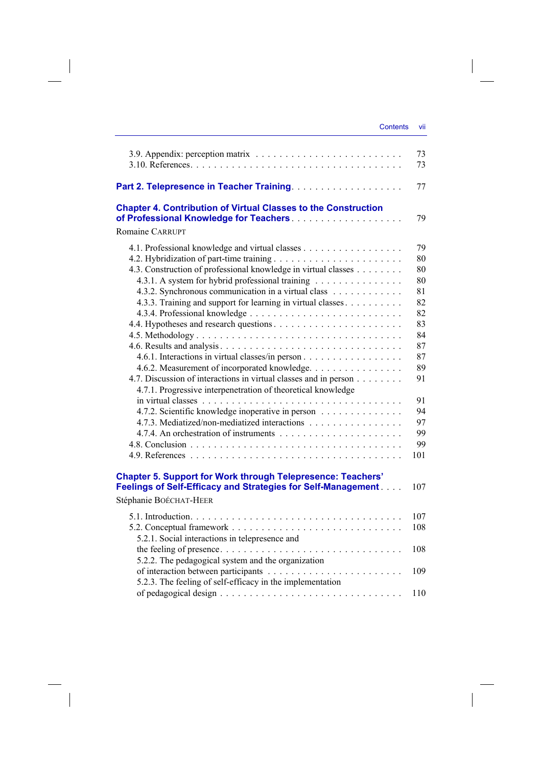$\begin{array}{c} \hline \end{array}$ 

|                                                                                                                                                                                   | 73<br>73       |
|-----------------------------------------------------------------------------------------------------------------------------------------------------------------------------------|----------------|
|                                                                                                                                                                                   | 77             |
| <b>Chapter 4. Contribution of Virtual Classes to the Construction</b>                                                                                                             | 79             |
| <b>Romaine CARRUPT</b>                                                                                                                                                            |                |
| 4.3. Construction of professional knowledge in virtual classes                                                                                                                    | 79<br>80<br>80 |
| 4.3.1. A system for hybrid professional training<br>4.3.2. Synchronous communication in a virtual class                                                                           | 80<br>81<br>82 |
| 4.3.3. Training and support for learning in virtual classes                                                                                                                       | 82             |
|                                                                                                                                                                                   | 83<br>84       |
| 4.6.1. Interactions in virtual classes/in person                                                                                                                                  | 87<br>87<br>89 |
| 4.6.2. Measurement of incorporated knowledge.<br>4.7. Discussion of interactions in virtual classes and in person<br>4.7.1. Progressive interpenetration of theoretical knowledge | 91             |
|                                                                                                                                                                                   | 91             |
| 4.7.2. Scientific knowledge inoperative in person                                                                                                                                 | 94             |
| 4.7.3. Mediatized/non-mediatized interactions                                                                                                                                     | 97             |
|                                                                                                                                                                                   | 99<br>99       |
|                                                                                                                                                                                   | 101            |
| <b>Chapter 5. Support for Work through Telepresence: Teachers'</b><br>Feelings of Self-Efficacy and Strategies for Self-Management<br>Stéphanie BOÉCHAT-HEER                      | 107            |
|                                                                                                                                                                                   |                |
| 5.2.1. Social interactions in telepresence and                                                                                                                                    | 107<br>108     |
| 5.2.2. The pedagogical system and the organization                                                                                                                                | 108            |
| 5.2.3. The feeling of self-efficacy in the implementation                                                                                                                         | 109            |
|                                                                                                                                                                                   | 110            |

 $\overline{\phantom{a}}$ 

 $\begin{array}{c} \hline \end{array}$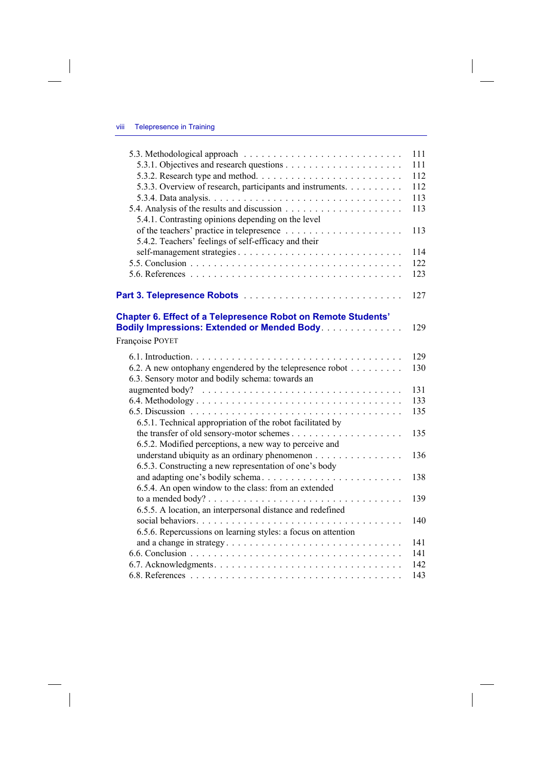$\overline{\phantom{a}}$ 

 $\begin{array}{c} \hline \end{array}$ 

|                                                                                                     | 111 |
|-----------------------------------------------------------------------------------------------------|-----|
|                                                                                                     | 111 |
|                                                                                                     | 112 |
| 5.3.3. Overview of research, participants and instruments.                                          | 112 |
|                                                                                                     | 113 |
|                                                                                                     | 113 |
| 5.4.1. Contrasting opinions depending on the level                                                  |     |
|                                                                                                     | 113 |
| 5.4.2. Teachers' feelings of self-efficacy and their                                                |     |
|                                                                                                     | 114 |
|                                                                                                     | 122 |
|                                                                                                     | 123 |
|                                                                                                     |     |
|                                                                                                     | 127 |
| <b>Chapter 6. Effect of a Telepresence Robot on Remote Students'</b>                                |     |
| <b>Bodily Impressions: Extended or Mended Body.</b>                                                 | 129 |
| Françoise POYET                                                                                     |     |
|                                                                                                     |     |
|                                                                                                     | 129 |
| 6.2. A new ontophany engendered by the telepresence robot                                           | 130 |
| 6.3. Sensory motor and bodily schema: towards an                                                    |     |
|                                                                                                     | 131 |
|                                                                                                     | 133 |
|                                                                                                     | 135 |
| 6.5.1. Technical appropriation of the robot facilitated by                                          |     |
|                                                                                                     | 135 |
| 6.5.2. Modified perceptions, a new way to perceive and                                              |     |
| understand ubiquity as an ordinary phenomenon                                                       | 136 |
| 6.5.3. Constructing a new representation of one's body                                              |     |
| and adapting one's bodily schema                                                                    | 138 |
| 6.5.4. An open window to the class: from an extended                                                |     |
|                                                                                                     | 139 |
| 6.5.5. A location, an interpersonal distance and redefined                                          |     |
|                                                                                                     | 140 |
| 6.5.6. Repercussions on learning styles: a focus on attention                                       |     |
| and a change in strategy. $\dots \dots \dots \dots \dots \dots \dots \dots \dots \dots \dots \dots$ | 141 |
|                                                                                                     | 141 |
|                                                                                                     | 142 |
|                                                                                                     | 143 |

 $\overline{\phantom{a}}$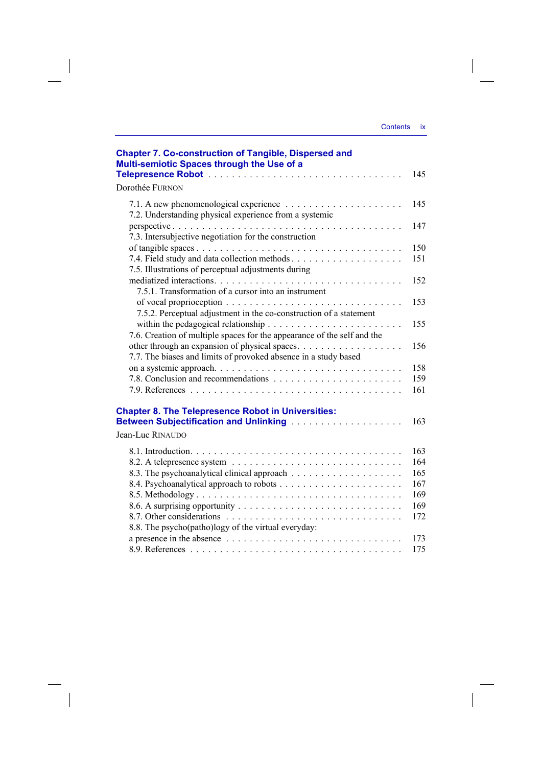| <b>Contents</b> | <b>ix</b> |
|-----------------|-----------|
|                 |           |

 $\mathcal{A}$ 

 $\begin{array}{c} \hline \end{array}$ 

| <b>Chapter 7. Co-construction of Tangible, Dispersed and</b><br>Multi-semiotic Spaces through the Use of a                                                        | 145        |
|-------------------------------------------------------------------------------------------------------------------------------------------------------------------|------------|
| Dorothée FURNON                                                                                                                                                   |            |
| 7.2. Understanding physical experience from a systemic                                                                                                            | 145        |
| 7.3. Intersubjective negotiation for the construction                                                                                                             | 147        |
|                                                                                                                                                                   | 150        |
| 7.5. Illustrations of perceptual adjustments during                                                                                                               | 151        |
| 7.5.1. Transformation of a cursor into an instrument                                                                                                              | 152        |
| 7.5.2. Perceptual adjustment in the co-construction of a statement                                                                                                | 153        |
| within the pedagogical relationship $\ldots \ldots \ldots \ldots \ldots \ldots \ldots$<br>7.6. Creation of multiple spaces for the appearance of the self and the | 155        |
| 7.7. The biases and limits of provoked absence in a study based                                                                                                   | 156        |
|                                                                                                                                                                   | 158        |
|                                                                                                                                                                   | 159        |
|                                                                                                                                                                   | 161        |
| <b>Chapter 8. The Telepresence Robot in Universities:</b><br>Jean-Luc RINAUDO                                                                                     | 163        |
|                                                                                                                                                                   |            |
|                                                                                                                                                                   | 163<br>164 |
|                                                                                                                                                                   | 165        |
|                                                                                                                                                                   | 167        |
|                                                                                                                                                                   | 169        |
|                                                                                                                                                                   | 169        |
|                                                                                                                                                                   | 172        |
| 8.8. The psycho(patho)logy of the virtual everyday:                                                                                                               |            |
|                                                                                                                                                                   | 173        |
|                                                                                                                                                                   | 175        |

 $\frac{1}{2}$ 

 $\frac{1}{\sqrt{2}}$